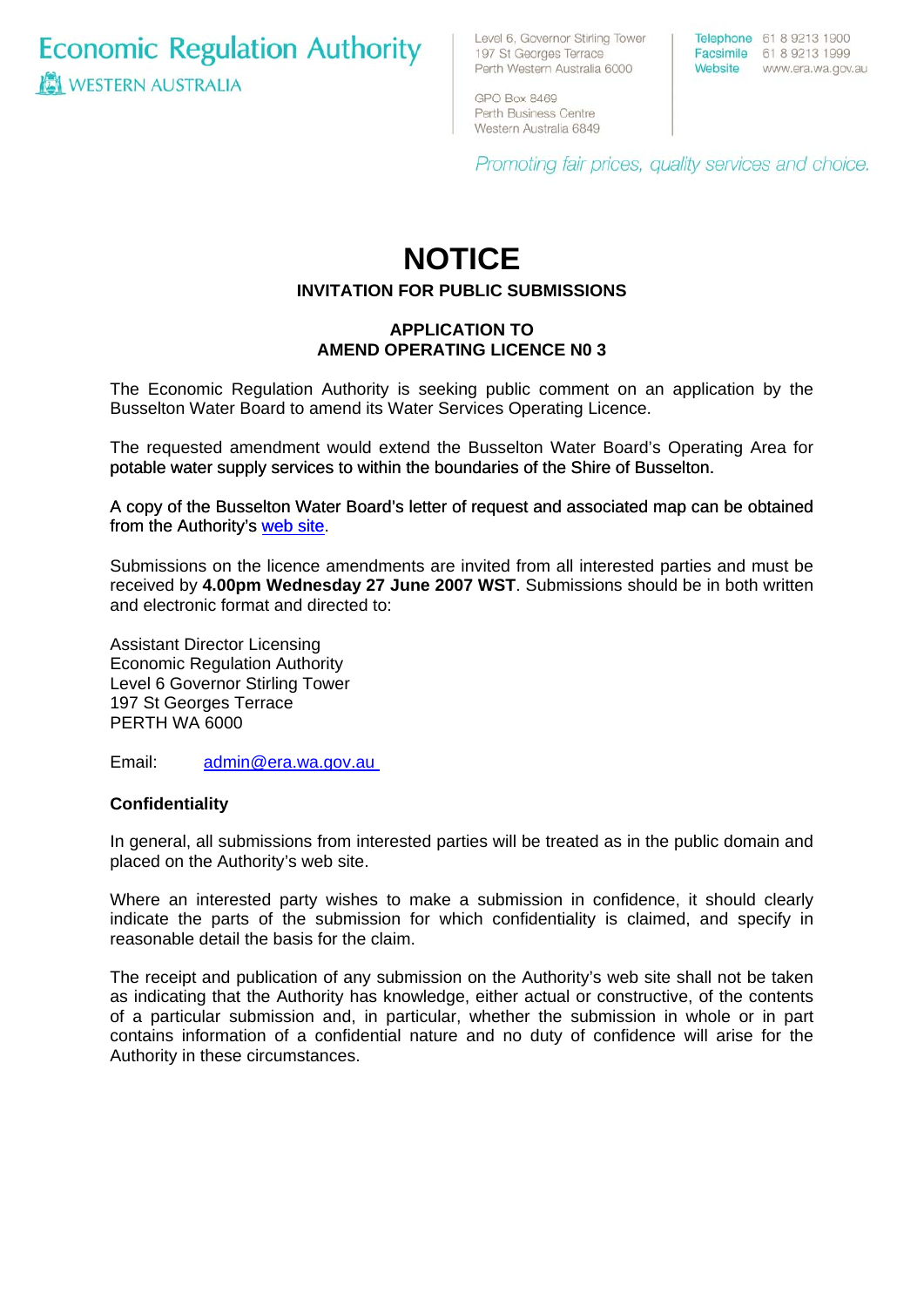**Economic Regulation Authority WESTERN AUSTRALIA** 

Level 6, Governor Stirling Tower 197 St Georges Terrace Perth Western Australia 6000

Telephone 61 8 9213 1900 Facsimile 61 8 9213 1999 Website www.era.wa.gov.au

GPO Box 8469 Perth Business Centre Western Australia 6849

Promoting fair prices, quality services and choice.

# **NOTICE**

# **INVITATION FOR PUBLIC SUBMISSIONS**

# **APPLICATION TO AMEND OPERATING LICENCE N0 3**

The Economic Regulation Authority is seeking public comment on an application by the Busselton Water Board to amend its Water Services Operating Licence.

The requested amendment would extend the Busselton Water Board's Operating Area for potable water supply services to within the boundaries of the Shire of Busselton.

[A copy of the Busselton Water Board's letter of request and associated map can be obtained](http://www.era.wa.gov.au/cproot/5654/25513/20070530%20Busselton%20Water%20-%20Proposed%20Licence%20Amendment.pdf)  [from the Authority's web site](http://www.era.wa.gov.au/cproot/5654/25513/20070530%20Busselton%20Water%20-%20Proposed%20Licence%20Amendment.pdf).

Submissions on the licence amendments are invited from all interested parties and must be received by **4.00pm Wednesday 27 June 2007 WST**. Submissions should be in both written and electronic format and directed to:

Assistant Director Licensing Economic Regulation Authority Level 6 Governor Stirling Tower 197 St Georges Terrace PERTH WA 6000

Email: [admin@era.wa.gov.au](mailto:admin@era.wa.gov.au) 

#### **Confidentiality**

In general, all submissions from interested parties will be treated as in the public domain and placed on the Authority's web site.

Where an interested party wishes to make a submission in confidence, it should clearly indicate the parts of the submission for which confidentiality is claimed, and specify in reasonable detail the basis for the claim.

The receipt and publication of any submission on the Authority's web site shall not be taken as indicating that the Authority has knowledge, either actual or constructive, of the contents of a particular submission and, in particular, whether the submission in whole or in part contains information of a confidential nature and no duty of confidence will arise for the Authority in these circumstances.